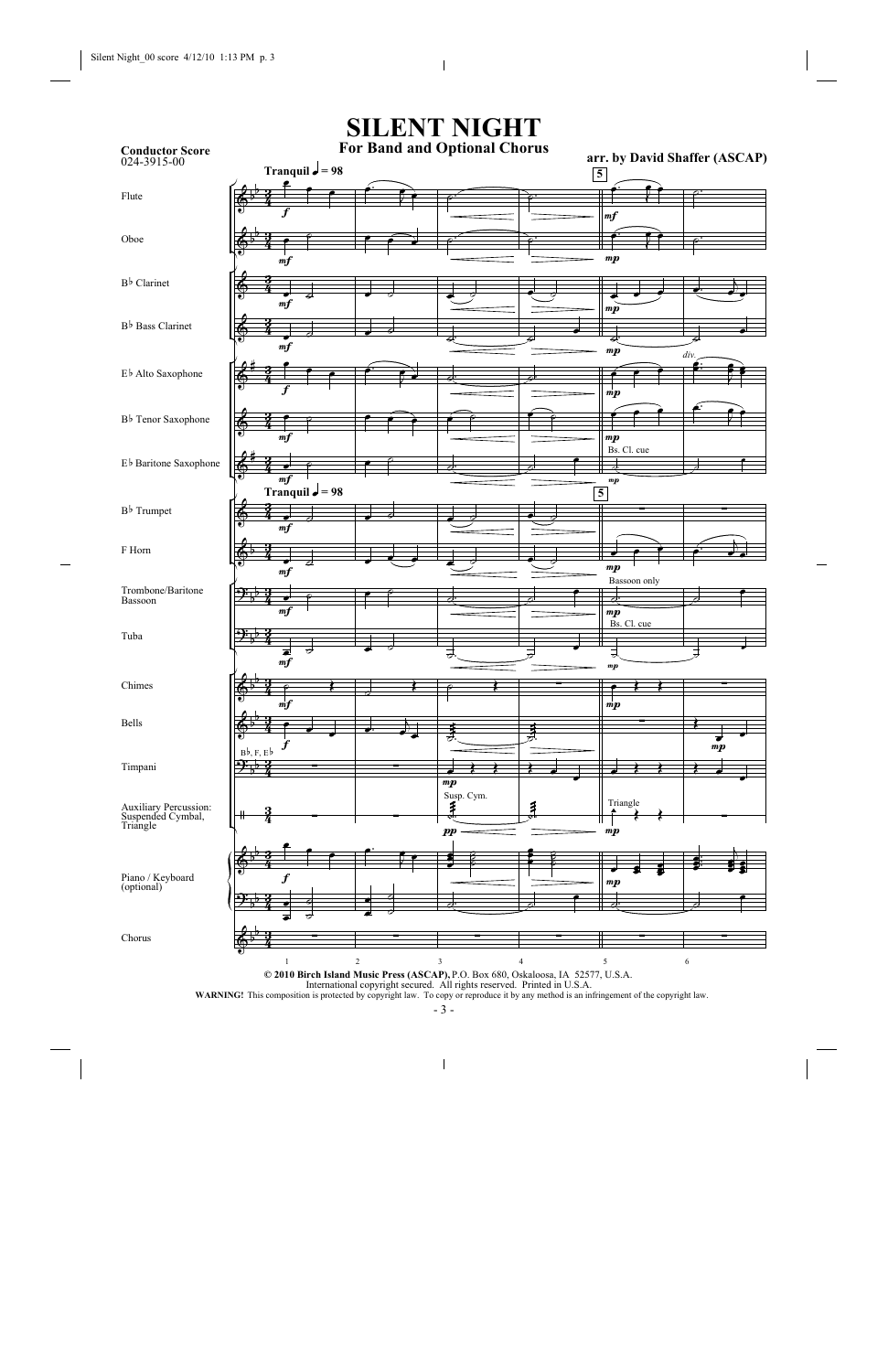## **SILENT NIGHT**

| <b>Conductor Score</b>                                 | <b>For Band and Optional Chorus</b><br>arr. by David Shaffer (ASCAP) |            |                                  |                                |                          |
|--------------------------------------------------------|----------------------------------------------------------------------|------------|----------------------------------|--------------------------------|--------------------------|
| 024-3915-00                                            | Tranquil $\epsilon$ = 98                                             |            |                                  | $\sqrt{5}$                     |                          |
|                                                        |                                                                      |            |                                  |                                |                          |
| Flute                                                  |                                                                      |            |                                  |                                |                          |
|                                                        | $\ddot{\bm{f}}$                                                      |            |                                  | mf                             |                          |
|                                                        |                                                                      |            |                                  |                                |                          |
| Oboe                                                   |                                                                      |            |                                  |                                | P                        |
|                                                        |                                                                      |            |                                  |                                |                          |
|                                                        | mf                                                                   |            |                                  | $\boldsymbol{m}\boldsymbol{p}$ |                          |
| B <sub>b</sub> Clarinet                                |                                                                      |            |                                  |                                |                          |
|                                                        |                                                                      |            |                                  |                                |                          |
|                                                        | m f                                                                  |            |                                  | $\mathbf{m}$                   |                          |
| B <sub>b</sub> Bass Clarinet                           |                                                                      |            |                                  |                                |                          |
|                                                        |                                                                      |            |                                  | d                              |                          |
|                                                        | m f                                                                  |            |                                  | $\boldsymbol{m}$               |                          |
|                                                        |                                                                      |            |                                  |                                | div.                     |
| Eb Alto Saxophone                                      |                                                                      |            |                                  |                                |                          |
|                                                        |                                                                      |            |                                  |                                |                          |
|                                                        |                                                                      |            |                                  | mp                             |                          |
| B <sub>b</sub> Tenor Saxophone                         |                                                                      |            |                                  |                                |                          |
|                                                        | $\bigcirc$                                                           |            |                                  |                                |                          |
|                                                        | mf                                                                   |            |                                  | $\boldsymbol{m}$               |                          |
|                                                        |                                                                      |            |                                  | Bs. Cl. cue                    |                          |
| E <sup>b</sup> Baritone Saxophone                      | ∲                                                                    |            |                                  |                                |                          |
|                                                        | $\overline{mf}$                                                      |            |                                  | $\boldsymbol{m}$               |                          |
|                                                        | Tranquil $\sqrt{ } = 98$                                             |            |                                  | $\overline{\mathbf{5}}$        |                          |
| B <sub>b</sub> Trumpet                                 |                                                                      |            |                                  |                                |                          |
|                                                        | $\bigcirc$                                                           |            |                                  |                                |                          |
|                                                        | m f                                                                  |            |                                  |                                |                          |
| ${\rm F}$ Horn                                         |                                                                      |            |                                  |                                |                          |
|                                                        |                                                                      |            |                                  |                                |                          |
|                                                        | m f                                                                  |            |                                  | $\boldsymbol{m}$               |                          |
| Trombone/Baritone<br>Bassoon                           |                                                                      |            |                                  | Bassoon only                   |                          |
|                                                        | $9\frac{1}{2}$                                                       |            |                                  | ਟ                              | ∠                        |
|                                                        | $\overline{mf}$                                                      |            |                                  | $\pmb{m}\pmb{p}$               |                          |
| Tuba                                                   |                                                                      |            |                                  | Bs. Cl. cue                    |                          |
|                                                        | $\mathfrak{P}$                                                       |            |                                  |                                |                          |
|                                                        |                                                                      |            | ट                                | $\exists$                      |                          |
|                                                        | $\overline{mf}$                                                      |            |                                  | $\boldsymbol{m}$               |                          |
| Chimes                                                 |                                                                      |            |                                  |                                |                          |
|                                                        |                                                                      |            |                                  |                                |                          |
|                                                        | m f                                                                  |            |                                  | mp                             |                          |
| Bells                                                  |                                                                      |            |                                  |                                |                          |
|                                                        |                                                                      |            | 手<br>$\frac{1}{\sigma}$          |                                | $\overline{\phantom{a}}$ |
|                                                        | $B^{\flat}, F, E^{\flat}$                                            |            |                                  |                                | $\boldsymbol{m}$         |
| Timpani                                                | $\Omega_{\rm{b}}$                                                    |            |                                  |                                |                          |
|                                                        |                                                                      |            |                                  |                                |                          |
|                                                        |                                                                      |            | $\boldsymbol{m}$<br>Susp. Cym.   |                                |                          |
|                                                        |                                                                      |            | ≢<br>ŧ                           | Triangle                       |                          |
| Auxiliary Percussion:<br>Suspended Cymbal,<br>Triangle | ╫                                                                    |            |                                  |                                |                          |
|                                                        |                                                                      |            | $\boldsymbol{pp}$                | $\boldsymbol{m}\boldsymbol{p}$ |                          |
|                                                        |                                                                      |            |                                  |                                |                          |
|                                                        |                                                                      |            |                                  |                                |                          |
|                                                        |                                                                      |            |                                  |                                |                          |
| Piano / Keyboard<br>(optional)                         | f                                                                    |            |                                  | mp                             |                          |
|                                                        |                                                                      |            |                                  |                                |                          |
|                                                        |                                                                      |            |                                  |                                |                          |
|                                                        | ट                                                                    |            |                                  |                                |                          |
| Chorus                                                 |                                                                      |            |                                  |                                |                          |
|                                                        |                                                                      |            |                                  |                                |                          |
|                                                        | $\mathbf{1}$                                                         | $\sqrt{2}$ | $\mathfrak{Z}$<br>$\overline{4}$ | 5                              | 6                        |
|                                                        |                                                                      |            |                                  |                                |                          |

© 2010 Birch Island Music Press (ASCAP), P.O. Box 680, Oskaloosa, IA 52577, U.S.A. **© 2010 Birch Island Music Press (ASCAP),**

International copyright secured. All rights reserved. Printed in U.S.A. **WARNING!** This composition is protected by copyright law. To copy or reproduce it by any method is an infringement of the copyright law.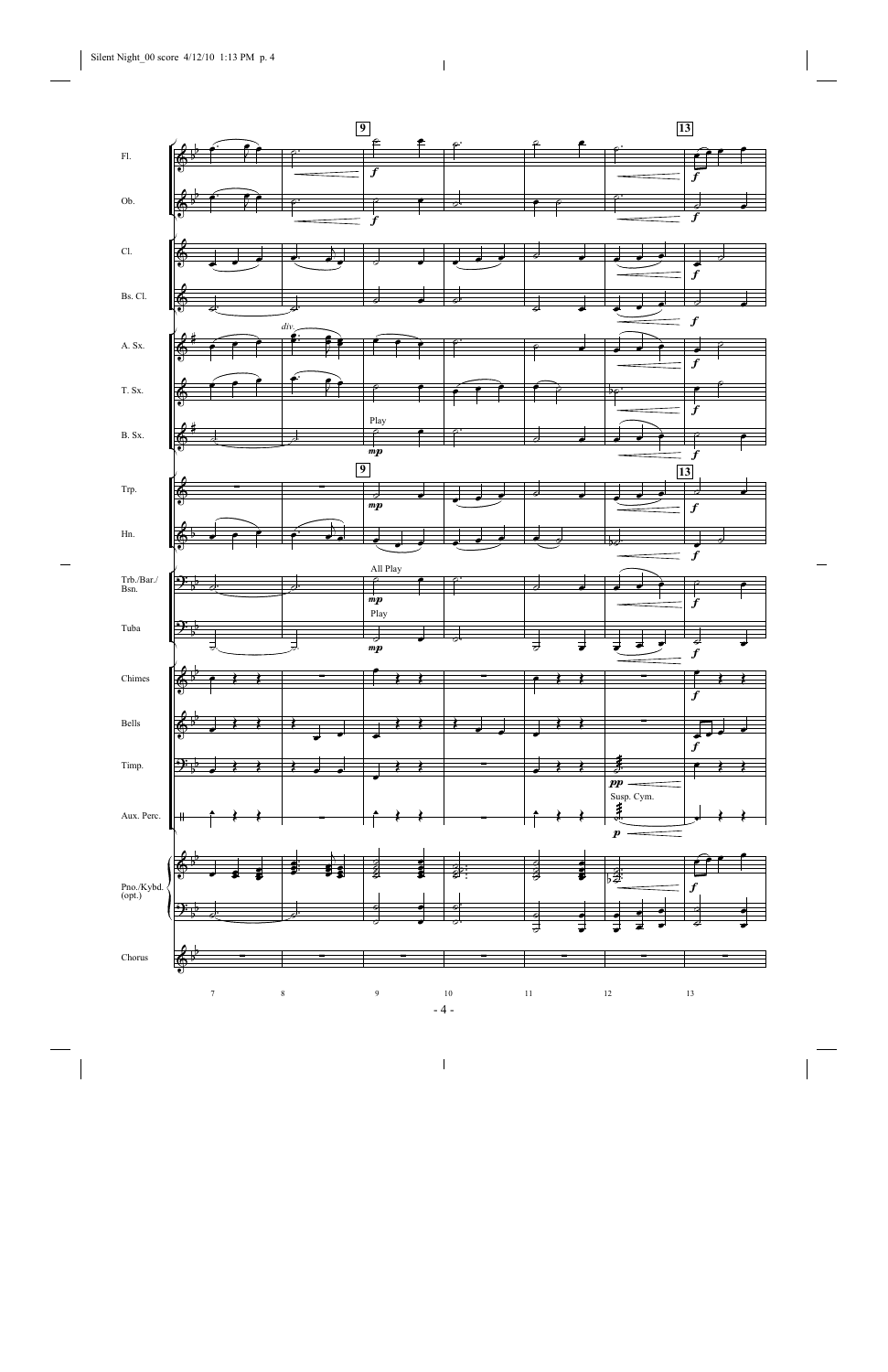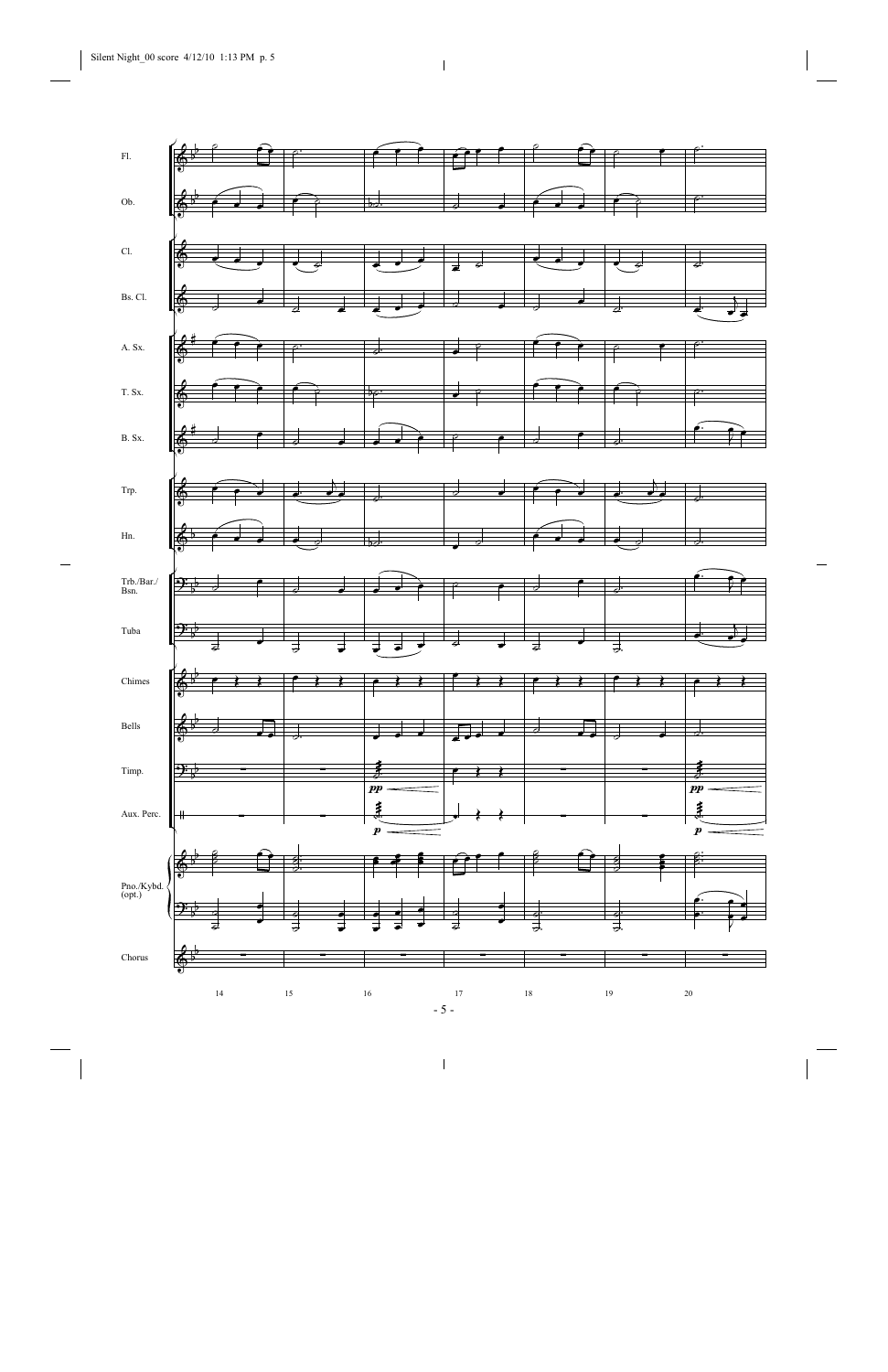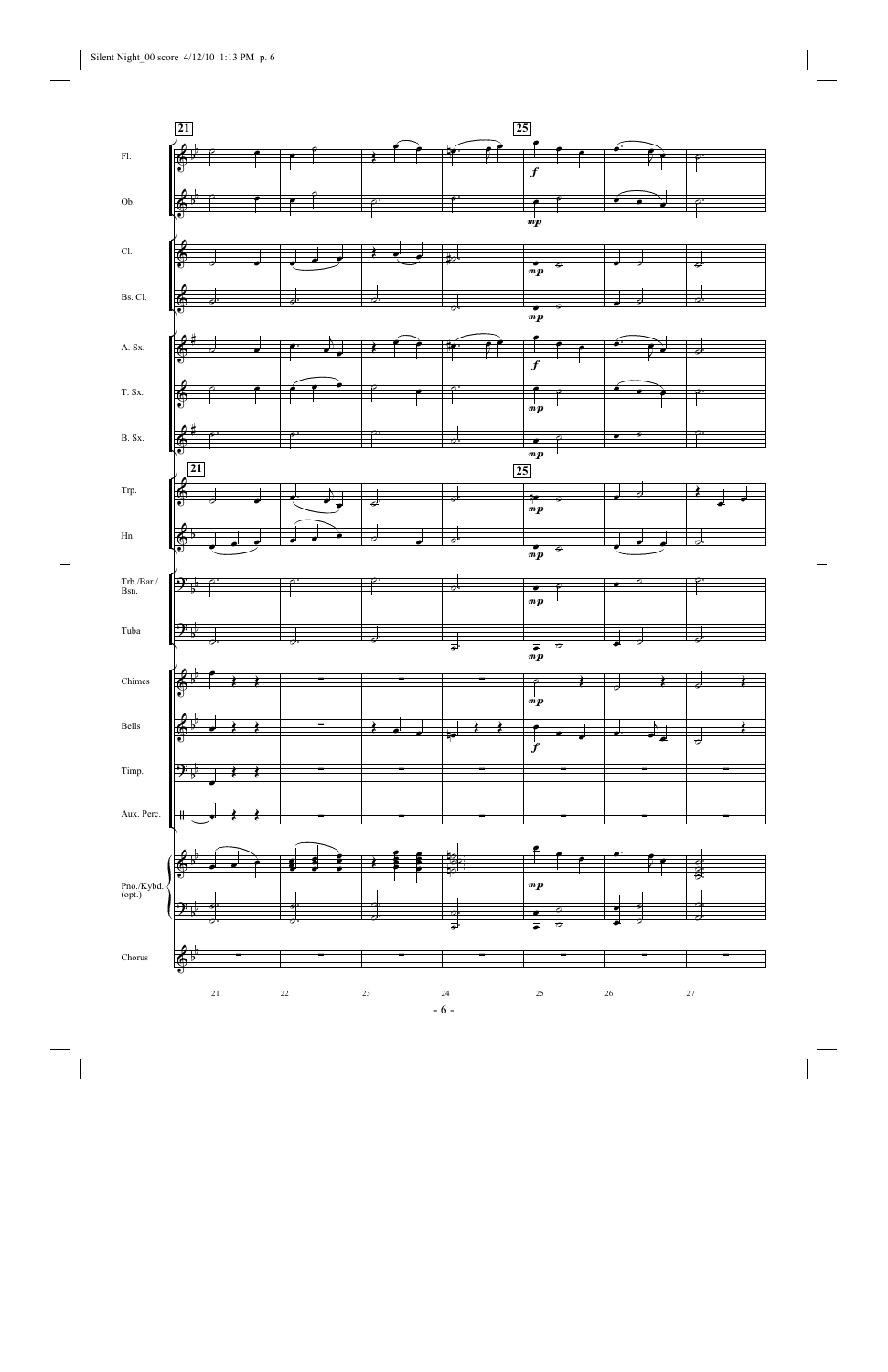

- 6 -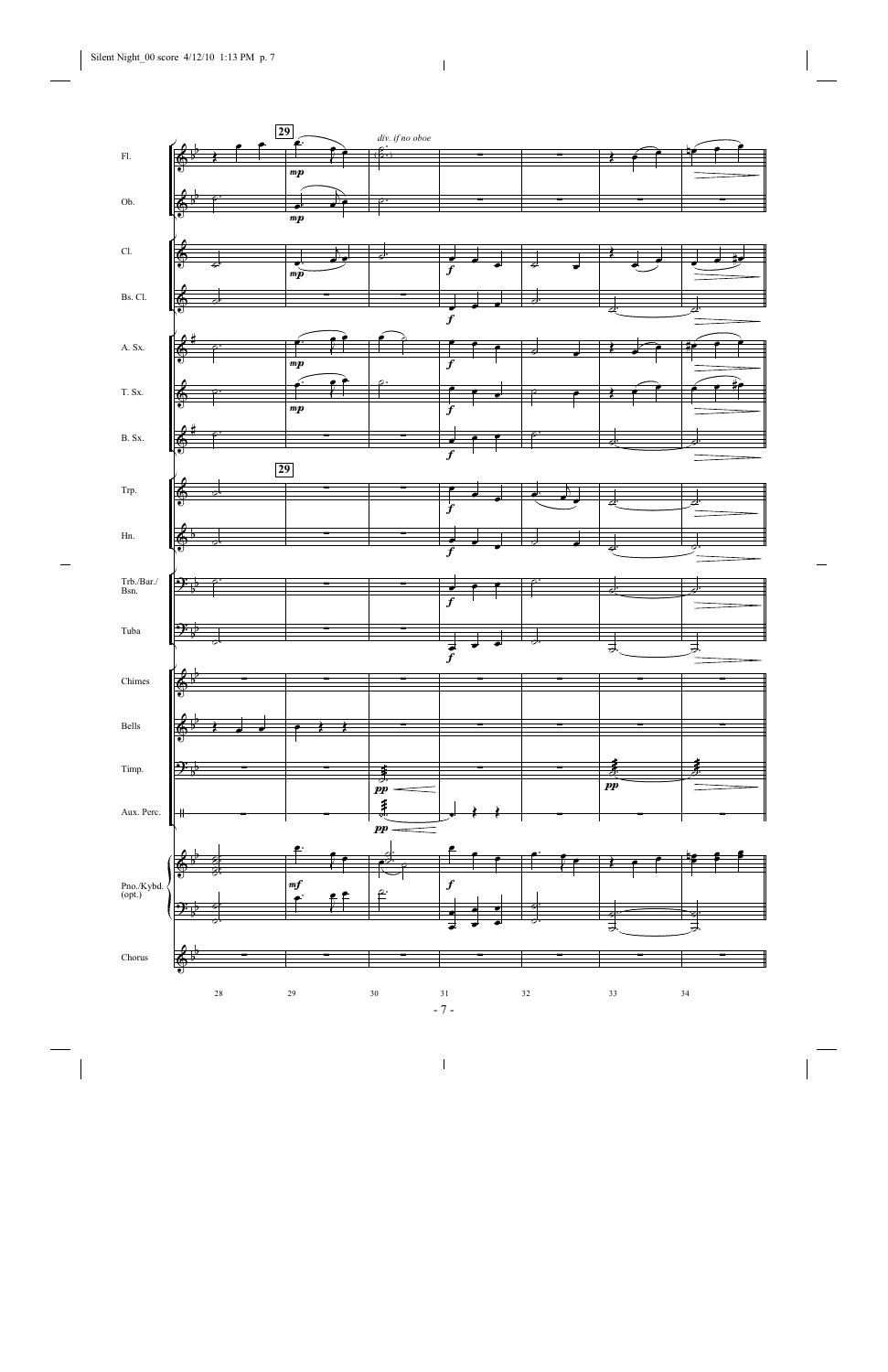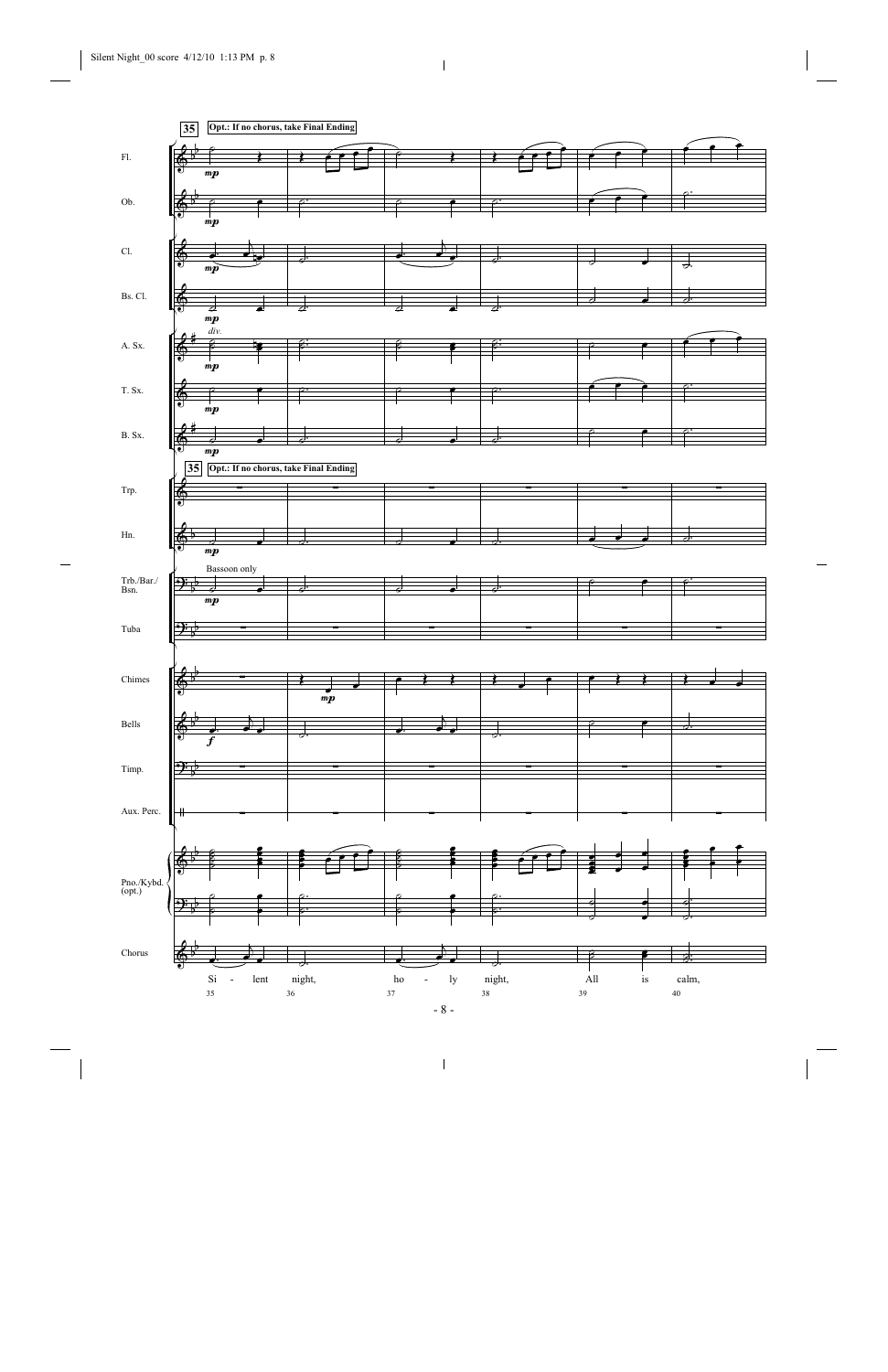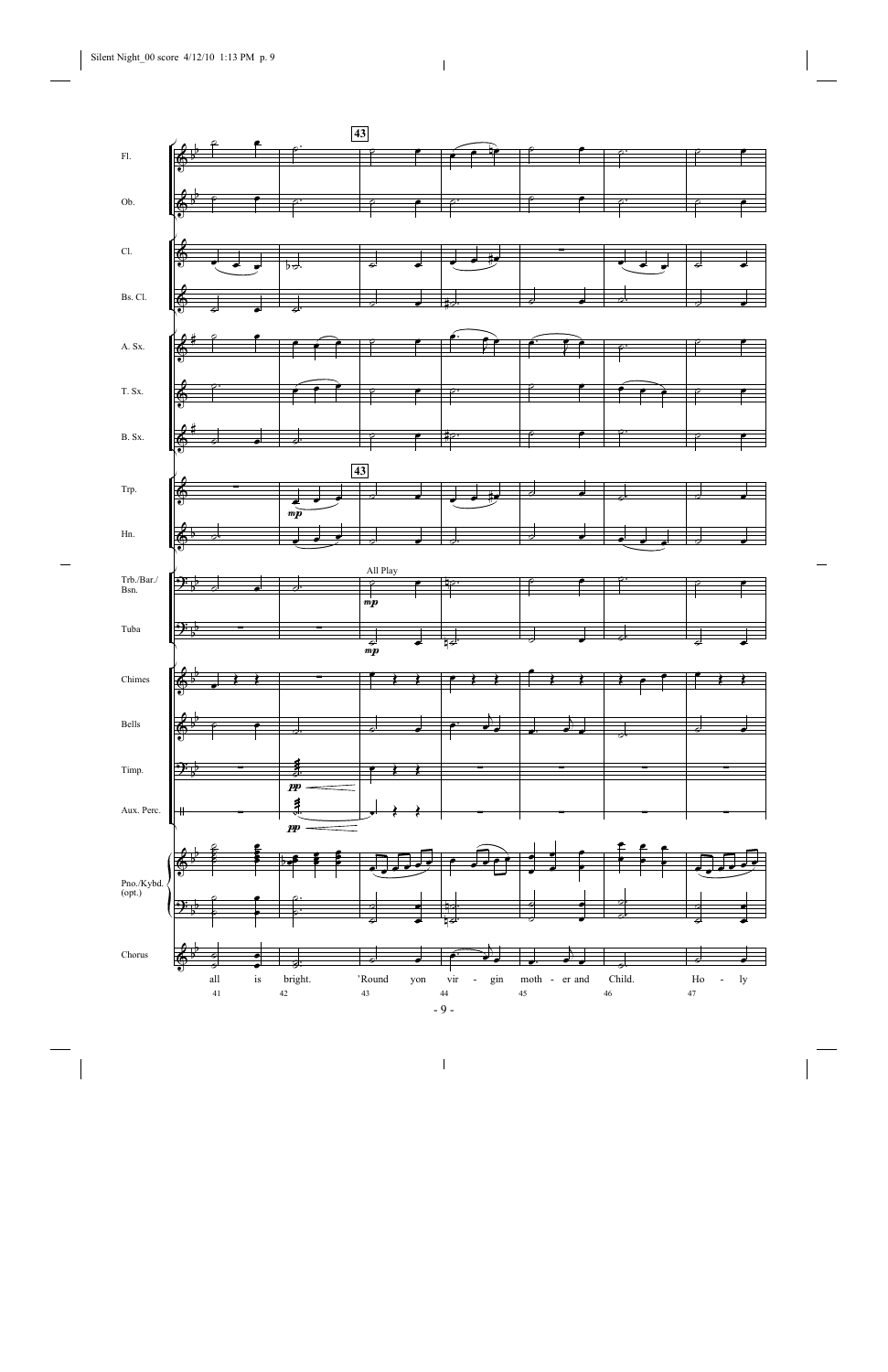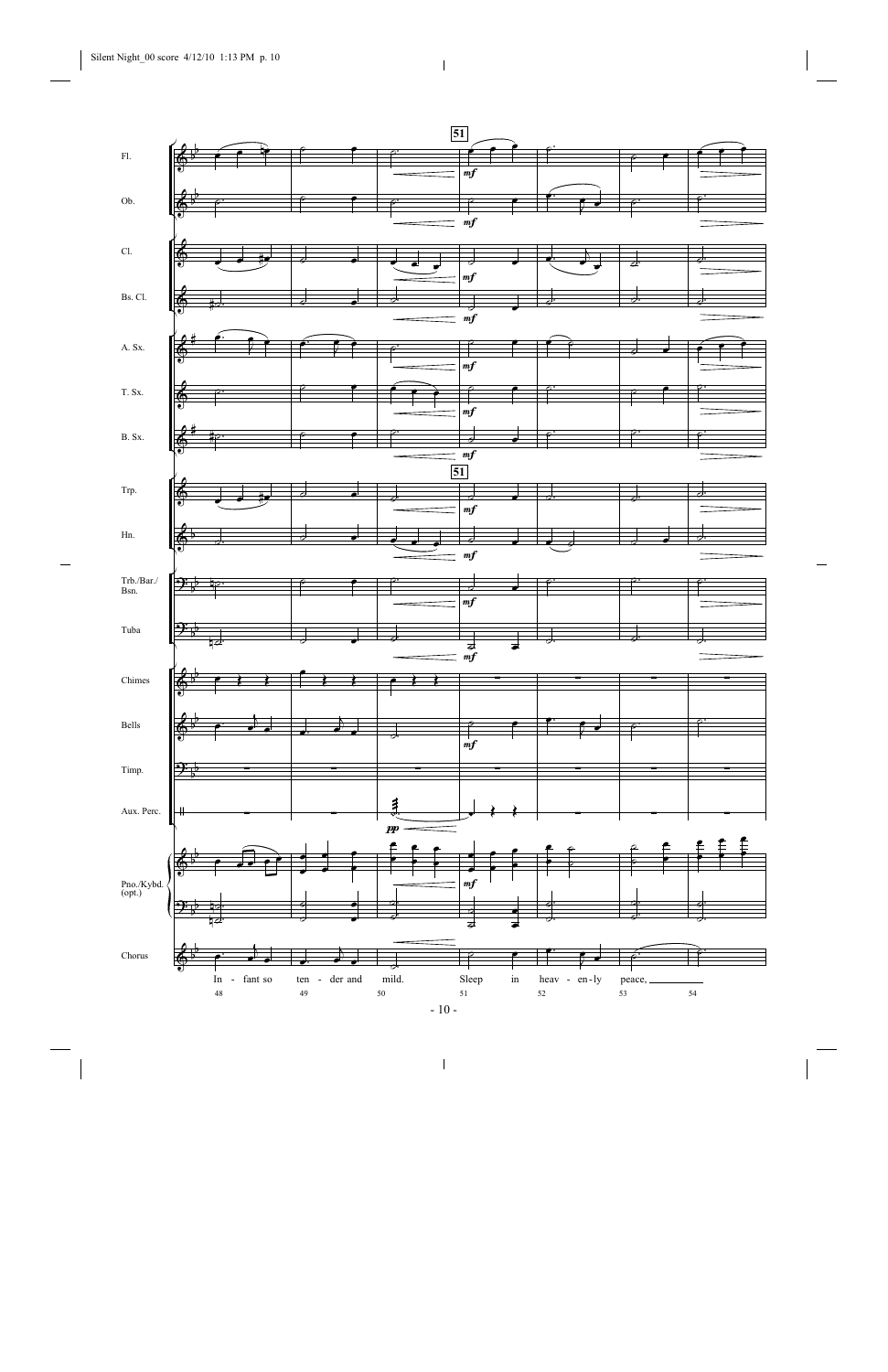